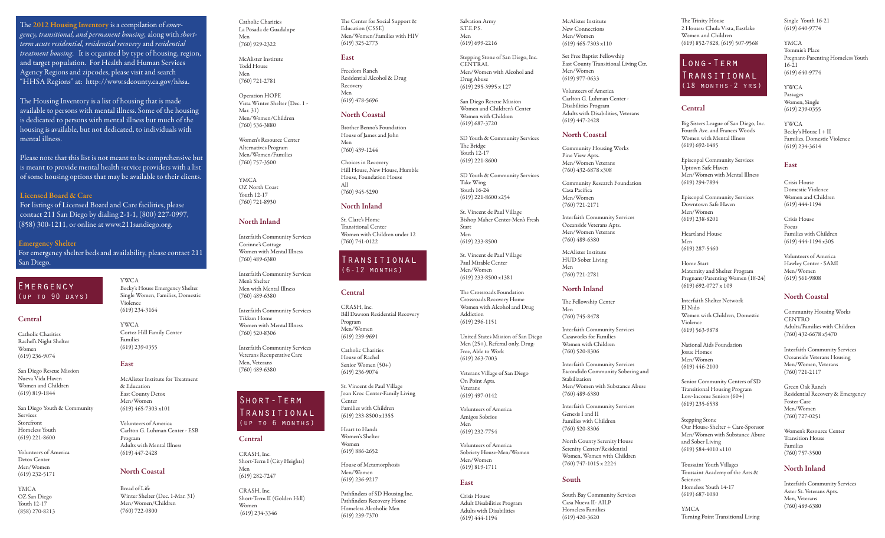The 2012 Housing Inventory is a compilation of *emer gency, transitional, and permanent housing,* along with *short term acute residential, residential recovery* and *residential treatment housing*. It is organized by type of housing, region, and target population. For Health and Human Services Agency Regions and zipcodes, please visit and search "HHSA Regions" at: http://www.sdcounty.ca.gov/hhsa.

 The Housing Inventory is a list of housing that is made available to persons with mental illness. Some of the housing is dedicated to persons with mental illness but much of the housing is available, but not dedicated, to individuals with mental illness.

 Please note that this list is not meant to be comprehensive but is meant to provide mental health service providers with a list of some housing options that may be available to their clients.

### Licensed Board & Care

 For listings of Licensed Board and Care facilities, please contact 211 San Diego by dialing 2-1-1, (800) 227-0997, (858) 300-1211, or online at www.211sandiego.org.

Emergency Shelter For emergency shelter beds and availability, please contact 211 San Diego.

YWCA

Violence (619) 234-3164 YWCA

Families (619) 239-0355

East

& Education East County Detox Men/Women (619) 465-7303 x101 Volunteers of America Carlton G. Luhman Center - ESB

Program

Becky's House Emergency Shelter Single Women, Families, Domestic

Cortez Hill Family Center

McAlister Institute for Treatment

Adults with Mental Illness (619) 447-2428

Winter Shelter (Dec. 1-Mar. 31) Men/Women/Children (760) 722-0800

North Coastal

Bread of Life

### **EMERGENCY** (up to 90 days)

### **Central**

Catholic Charities Rachel's Night Shelter Women (619) 236-9074

San Diego Rescue Mission Nueva Vida Haven Women and Children (619) 819-1844

San Diego Youth & Community Services Storefront Homeless Youth (619) 221-8600

Volunteers of America Detox Center Men/Women (619) 232-5171

YMCA OZ San Diego Youth 12-17 (858) 270-8213

Catholic Charities La Posada de Guadalupe Men (760) 929-2322

> McAlister Institute Todd House Men (760) 721-2781

Operation HOPE Vista Winter Shelter (Dec. 1 - Mar. 31) Men/Women/Children (760) 536-3880

Women's Resource Center Alternatives Program Men/Women/Families (760) 757-3500

YMCA OZ North Coast Youth 12-17 (760) 721-8930

### North Inland

Interfaith Community Services Corinne's Cottage Women with Mental Illness (760) 489-6380

Interfaith Community Services Men's Shelter Men with Mental Illness (760) 489-6380

Interfaith Community Services Tikkun Home Women with Mental Illness (760) 520-8306

Interfaith Community Services Veterans Recuperative Care Men, Veterans (760) 489-6380

## Short-Term Transitional (up to 6 months)

### **Central**

CRASH, Inc. Short-Term I (City Heights) Men (619) 282-7247

CRASH, Inc. Short-Term II (Golden Hill) Women (619) 234-3346

The Center for Social Support & Education (CSSE) Men/Women/Families with HIV (619) 325-2773

#### East

Freedom Ranch Residential Alcohol & Drug Recovery Men (619) 478-5696

### North Coastal

Brother Benno's Foundation House of James and John Men (760) 439-1244

Choices in Recovery Hill House, New House, Humble House, Foundation House All (760) 945-5290

### North Inland

St. Clare's Home Transitional Center Women with Children under 12 (760) 741-0122

### Transitional (6-12 months)

### Central

CRASH, Inc. Bill Dawson Residential Recovery Program Men/Women (619) 239-9691

Catholic Charities House of Rachel Senior Women (50+) (619) 236-9074

St. Vincent de Paul Village Joan Kroc Center-Family Living Center Families with Children (619) 233-8500 x1355

Heart to Hands Women's Shelter Women (619) 886-2652

House of Metamorphosis Men/Women (619) 236-9217

Pathfinders of SD Housing Inc. Pathfinders Recovery Home Homeless Alcoholic Men (619) 239-7370

Salvation Army S.T.E.P.S. Men (619) 699-2216

Stepping Stone of San Diego, Inc. **CENTRAL** Men/Women with Alcohol and Drug Abuse (619) 295-3995 x 127

San Diego Rescue Mission Women and Children's Center Women with Children (619) 687-3720

### SD Youth & Community Services The Bridge

Youth 12-17 (619) 221-8600 SD Youth & Community Services

Take Wing Youth 16-24 (619) 221-8600 x254

St. Vincent de Paul Village Bishop Maher Center-Men's Fresh Start Men (619) 233-8500

St. Vincent de Paul Village Paul Mirable Center Men/Women (619) 233-8500 x1381

The Crossroads Foundation Crossroads Recovery Home Women with Alcohol and Drug Addiction (619) 296-1151

United States Mission of San Diego Men (25+), Referral only, Drug-Free, Able to Work

On Point Apts.

Volunteers of America Amigos Sobrios

(619) 232-7754 Volunteers of America

Men/Women (619) 819-1711

Crisis House Adult Disabilities Program Adults with Disabilities (619) 444-1194

McAlister Institute New Connections Men/Women (619) 465-7303 x110

Set Free Baptist Fellowship East County Transitional Living Ctr. Men/Women (619) 977-0633

Volunteers of America Carlton G. Luhman Center - Disabilities Program Adults with Disabilities, Veterans (619) 447-2428

### North Coastal

Community Housing Works Pine View Apts. Men/Women Veterans (760) 432-6878 x308

Community Research Foundation Casa Pacifica Men/Women

(760) 721-2171 Interfaith Community Services Oceanside Veterans Apts. Men/Women Veterans (760) 489-6380

McAlister Institute HUD Sober Living Men

The Fellowship Center

Interfaith Community Services Casaworks for Families Women with Children (760) 520-8306

Interfaith Community Services Escondido Community Sobering and

Interfaith Community Services

North County Serenity House Serenity Center/Residential Women, Women with Children (760) 747-1015 x 2224

South Bay Community Services Casa Nueva II- AILP Homeless Families (619) 420-3620

Men/Women with Substance Abuse

Stabilization

(760) 489-6380

Genesis I and II Families with Children (760) 520-8306

South

Men (760) 745-8478

### (760) 721-2781 North Inland

(619) 263-7003

Veterans Village of San Diego Veterans

(619) 497-0142

Men

Sobriety House-Men/Women

### **East**

The Trinity House 2 Houses: Chula Vista, Eastlake Women and Children (619) 852-7828, (619) 507-9568

Central

Women with Mental Illness (619) 692-1485

Episcopal Community Services Downtown Safe Haven Men/Women (619) 238-8201 Heartland House Men (619) 287-5460 Home Start

Maternity and Shelter Program Pregnant/Parenting Women (18-24)

Women with Children, Domestic

Senior Community Centers of SD Transitional Housing Program Low-Income Seniors (60+) (619) 235-6538

National Aids Foundation Josue Homes Men/Women (619) 446-2100

(619) 692-0727 x 109 Interfaith Shelter Network

El Nido

Violence (619) 563-9878

(619) 294-7894

Long-Term Transitional (18 months-2 yrs)

## Passages

Big Sisters League of San Diego, Inc. Fourth Ave. and Frances Woods YWCA

Episcopal Community Services Uptown Safe Haven Men/Women with Mental Illness

> Domestic Violence Women and Children

Crisis House Focus Families with Children (619) 444-1194 x305

Hawley Center - SAMI Men/Women (619) 561-9808

### North Coastal

Community Housing Works **CENTRO** Adults/Families with Children (760) 432-6678 x5470

Interfaith Community Services Oceanside Veterans Housing Men/Women, Veterans (760) 721-2117

> Green Oak Ranch Residential Recovery & Emergency Foster Care Men/Women (760) 727-0251

Women's Resource Center Transition House Families

Stepping Stone Our House-Shelter + Care-Sponsor Men/Women with Substance Abuse and Sober Living (619) 584-4010 x110

(760) 757-3500 North Inland

Interfaith Community Services Aster St. Veterans Apts. Men, Veterans (760) 489-6380

YMCA Turning Point Transitional Living

Toussaint Youth Villages Toussaint Academy of the Arts &

Sciences Homeless Youth 14-17 (619) 687-1080

Single Youth 16-21 (619) 640-9774

YMCA Tommie's Place Pregnant-Parenting Homeless Youth 16-21 (619) 640-9774

YWCA Women, Single (619) 239-0355

Becky's House I + II Families, Domestic Violence (619) 234-3614

### East

Crisis House (619) 444-1194

Volunteers of America